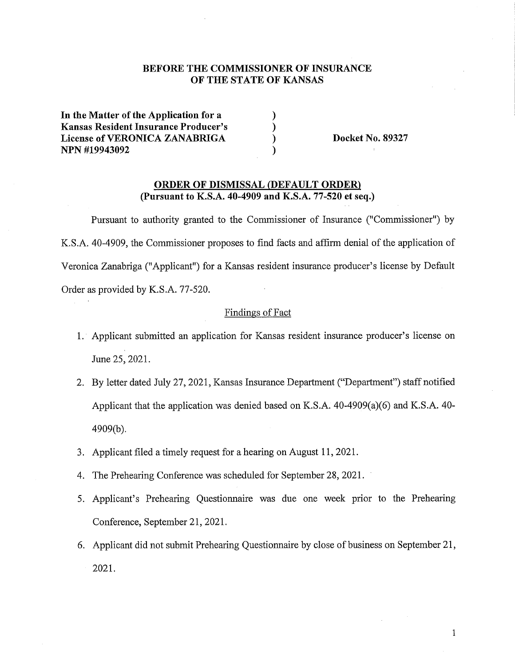# **BEFORE THE COMMISSIONER OF INSURANCE OF THE STATE OF KANSAS**

) ) ) )

**In the Matter of the Application for a Kansas Resident Insurance Producer's License of VERONICA ZANABRIGA NPN #19943092** 

**Docket No. 89327** 

## **ORDER OF DISMISSAL {DEFAULT ORDER) (Pursuant to K.S.A. 40-4909 and K.S.A. 77-520 et seq.)**

Pursuant to authority granted to the Commissioner of Insurance ("Commissioner") by K.S.A. 40-4909, the Commissioner proposes to find facts and affirm denial of the application of Veronica Zanabriga ("Applicant") for a Kansas resident insurance producer's license by Default Order as provided by K.S.A. 77-520.

#### Findings of Fact

- 1. Applicant submitted an application for Kansas resident insurance producer's license on June 25, 2021.
- 2. By letter dated July 27, 2021, Kansas Insurance Department ("Department") staff notified Applicant that the application was denied based on K.S.A. 40-4909(a)(6) and K.S.A. 40- 4909(b).
- 3. Applicant filed a timely request for a hearing on August 11, 2021.
- 4. The Prehearing Conference was scheduled for September 28, 2021.
- 5. Applicant's Prehearing Questionnaire was due one week prior to the Prehearing Conference, September 21, 2021.
- 6. Applicant did not submit Prehearing Questionnaire by close of business on September 21, 2021.

1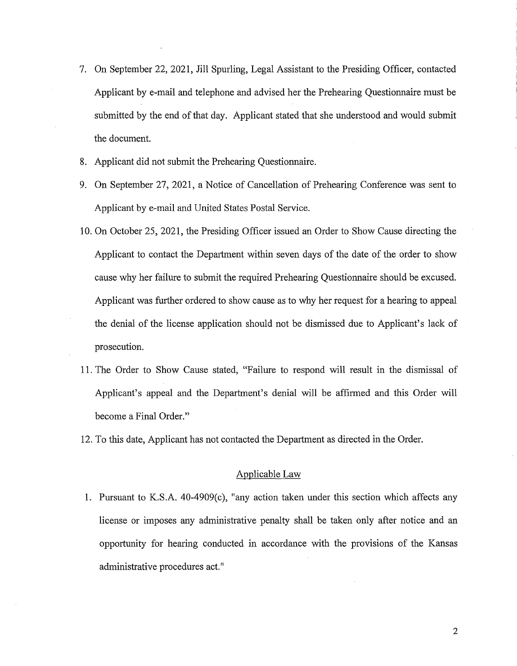- 7. On September 22, 2021, Jill Spurling, Legal Assistant to the Presiding Officer, contacted Applicant by e-mail and telephone and advised her the Prehearing Questionnaire must be submitted by the end of that day. Applicant stated that she understood and would submit the document.
- 8. Applicant did not submit the Prehearing Questionnaire.
- 9. On September 27, 2021, a Notice of Cancellation of Prehearing Conference was sent to Applicant by e-mail and United States Postal Service.
- 10. On October 25, 2021, the Presiding Officer issued an Order to Show Cause directing the Applicant to contact the Department within seven days of the date of the order to show cause why her failure to submit the required Prehearing Questionnaire should be excused. Applicant was further ordered to show cause as to why her request for a hearing to appeal the denial of the license application should not be dismissed due to Applicant's lack of prosecution.
- 11. The Order to Show Cause stated, "Failure to respond will result in the dismissal of Applicant's appeal and the Department's denial will be affirmed and this Order will become a Final Order."
- 12. To this date, Applicant has not contacted the Department as directed in the Order.

#### Applicable Law

1. Pursuant to K.S.A. 40-4909(c), "any action taken under this section which affects any license or imposes any administrative penalty shall be taken only after notice and an opportunity for hearing conducted in accordance with the provisions of the Kansas administrative procedures act."

2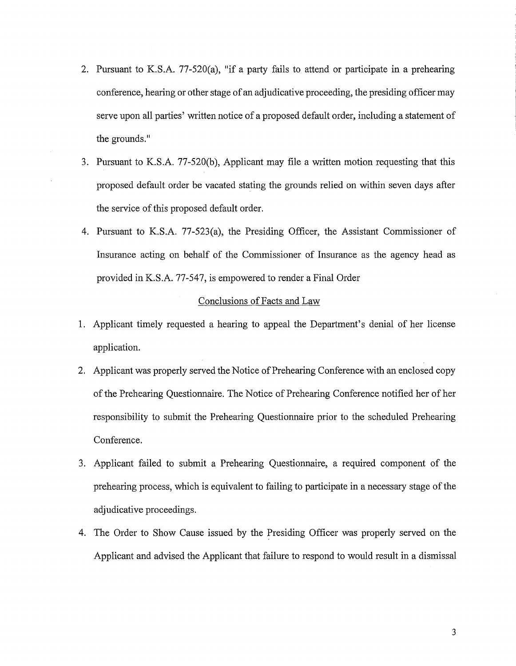- 2. Pursuant to K.S.A. 77-520(a), "if a party fails to attend or participate in a prehearing conference, hearing or other stage of an adjudicative proceeding, the presiding officer may serve upon all parties' written notice of a proposed default order, including a statement of the grounds."
- 3. Pursuant to K.S.A. 77-520(b), Applicant may file a written motion requesting that this proposed default order be vacated stating the grounds relied on within seven days after the service of this proposed default order.
- 4. Pursuant to K.S.A. 77-523(a), the Presiding Officer, the Assistant Commissioner of Insurance acting on behalf of the Commissioner of Insurance as the agency head as provided in K.S.A. 77-547, is empowered to render a Final Order

## Conclusions of Facts and Law

- 1. Applicant timely requested a hearing to appeal the Department's denial of her license application.
- 2. Applicant was properly served the Notice of Prehearing Conference with an enclosed copy of the Prehearing Questionnaire. The Notice of Prehearing Conference notified her of her responsibility to submit the Prehearing Questionnaire prior to the scheduled Prehearing Conference.
- 3. Applicant failed to submit a Prehearing Questionnaire, a required component of the prehearing process, which is equivalent to failing to participate in a necessary stage of the adjudicative proceedings.
- 4. The Order to Show Cause issued by the Presiding Officer was properly served on the Applicant and advised the Applicant that failure to respond to would result in a dismissal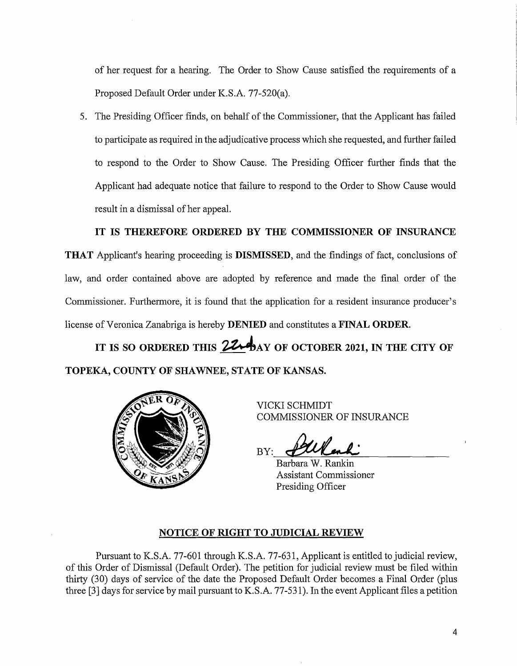of her request for a hearing. The Order to Show Cause satisfied the requirements of a Proposed Default Order under K.S.A. 77-520(a).

5. The Presiding Officer finds, on behalf of the Commissioner, that the Applicant has failed to participate as required in the adjudicative process which she requested, and further failed to respond to the Order to Show Cause. The Presiding Officer further finds that the Applicant had adequate notice that failure to respond to the Order to Show Cause would result in a dismissal of her appeal.

**IT IS THEREFORE ORDERED BY THE COMMISSIONER OF INSURANCE** 

**THAT** Applicant's hearing proceeding is **DISMISSED,** and the findings of fact, conclusions of law, and order contained above are adopted by reference and made the final order of the Commissioner. Furthermore, it is found that the application for a resident insurance producer's license of Veronica Zanabriga is hereby **DENIED** and constitutes a **FINAL ORDER.** 

IT IS SO ORDERED THIS **224** AY OF OCTOBER 2021, IN THE CITY OF **TOPEKA, COUNTY OF SHAWNEE, STATE OF KANSAS.** 



VICKI SCHMIDT COMMISSIONER OF INSURANCE

BY: falland <u>fallenk</u><br>Barbara W. Rankin

Assistant Commissioner Presiding Officer

## **NOTICE OF RIGHT TO JUDICIAL REVIEW**

Pursuant to K.S.A. 77-601 through K.S.A. 77-631, Applicant is entitled to judicial review, of this Order of Dismissal (Default Order). The petition for judicial review must be filed within thirty (30) days of service of the date the Proposed Default Order becomes a Final Order (plus three [3] days for service by mail pursuant to K.S.A. 77-531). In the event Applicant files a petition